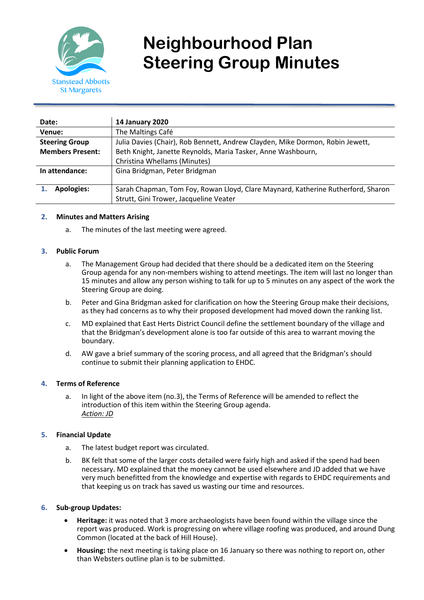

# **Neighbourhood Plan Steering Group Minutes**

| Date:                   | <b>14 January 2020</b>                                                           |
|-------------------------|----------------------------------------------------------------------------------|
| Venue:                  | The Maltings Café                                                                |
| <b>Steering Group</b>   | Julia Davies (Chair), Rob Bennett, Andrew Clayden, Mike Dormon, Robin Jewett,    |
| <b>Members Present:</b> | Beth Knight, Janette Reynolds, Maria Tasker, Anne Washbourn,                     |
|                         | Christina Whellams (Minutes)                                                     |
| In attendance:          | Gina Bridgman, Peter Bridgman                                                    |
|                         |                                                                                  |
| <b>Apologies:</b>       | Sarah Chapman, Tom Foy, Rowan Lloyd, Clare Maynard, Katherine Rutherford, Sharon |
|                         | Strutt, Gini Trower, Jacqueline Veater                                           |

## **2. Minutes and Matters Arising**

a. The minutes of the last meeting were agreed.

## **3. Public Forum**

- a. The Management Group had decided that there should be a dedicated item on the Steering Group agenda for any non-members wishing to attend meetings. The item will last no longer than 15 minutes and allow any person wishing to talk for up to 5 minutes on any aspect of the work the Steering Group are doing.
- b. Peter and Gina Bridgman asked for clarification on how the Steering Group make their decisions, as they had concerns as to why their proposed development had moved down the ranking list.
- c. MD explained that East Herts District Council define the settlement boundary of the village and that the Bridgman's development alone is too far outside of this area to warrant moving the boundary.
- d. AW gave a brief summary of the scoring process, and all agreed that the Bridgman's should continue to submit their planning application to EHDC.

#### **4. Terms of Reference**

a. In light of the above item (no.3), the Terms of Reference will be amended to reflect the introduction of this item within the Steering Group agenda. *Action: JD*

## **5. Financial Update**

- a. The latest budget report was circulated.
- b. BK felt that some of the larger costs detailed were fairly high and asked if the spend had been necessary. MD explained that the money cannot be used elsewhere and JD added that we have very much benefitted from the knowledge and expertise with regards to EHDC requirements and that keeping us on track has saved us wasting our time and resources.

#### **6. Sub-group Updates:**

- **Heritage:** it was noted that 3 more archaeologists have been found within the village since the report was produced. Work is progressing on where village roofing was produced, and around Dung Common (located at the back of Hill House).
- **Housing:** the next meeting is taking place on 16 January so there was nothing to report on, other than Websters outline plan is to be submitted.